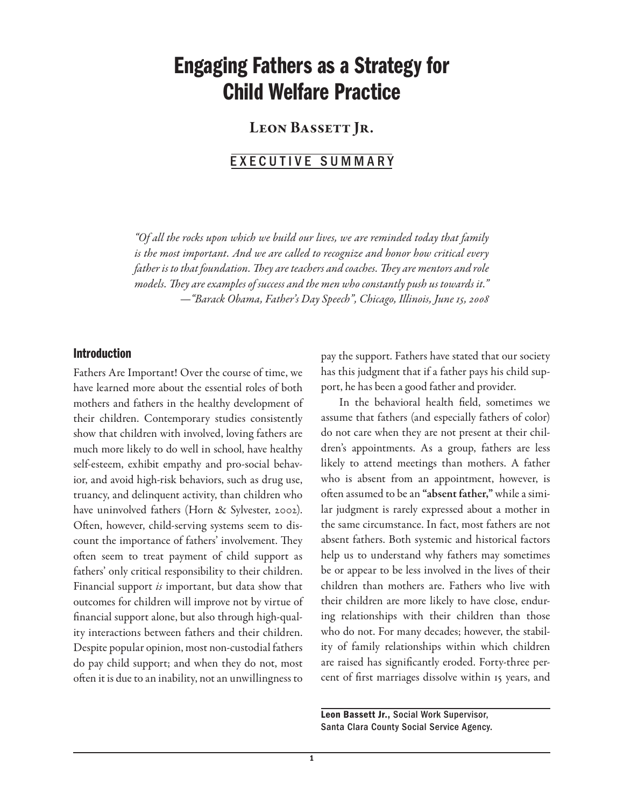# Engaging Fathers as a Strategy for Child Welfare Practice

LEON BASSETT JR.

# EXECUTIVE SUMMARY

*"Of all the rocks upon which we build our lives, we are reminded today that family is the most important. And we are called to recognize and honor how critical every father is to that foundation. They are teachers and coaches. They are mentors and role models. They are examples of success and the men who constantly push us towards it." —"Barack Obama, Father's Day Speech", Chicago, Illinois, June 15, 2008*

#### Introduction

Fathers Are Important! Over the course of time, we have learned more about the essential roles of both mothers and fathers in the healthy development of their children. Contemporary studies consistently show that children with involved, loving fathers are much more likely to do well in school, have healthy self-esteem, exhibit empathy and pro-social behavior, and avoid high-risk behaviors, such as drug use, truancy, and delinquent activity, than children who have uninvolved fathers (Horn & Sylvester, 2002). Often, however, child-serving systems seem to discount the importance of fathers' involvement. They often seem to treat payment of child support as fathers' only critical responsibility to their children. Financial support *is* important, but data show that outcomes for children will improve not by virtue of financial support alone, but also through high-quality interactions between fathers and their children. Despite popular opinion, most non-custodial fathers do pay child support; and when they do not, most often it is due to an inability, not an unwillingness to

pay the support. Fathers have stated that our society has this judgment that if a father pays his child support, he has been a good father and provider.

In the behavioral health field, sometimes we assume that fathers (and especially fathers of color) do not care when they are not present at their children's appointments. As a group, fathers are less likely to attend meetings than mothers. A father who is absent from an appointment, however, is often assumed to be an "absent father," while a similar judgment is rarely expressed about a mother in the same circumstance. In fact, most fathers are not absent fathers. Both systemic and historical factors help us to understand why fathers may sometimes be or appear to be less involved in the lives of their children than mothers are. Fathers who live with their children are more likely to have close, enduring relationships with their children than those who do not. For many decades; however, the stability of family relationships within which children are raised has significantly eroded. Forty-three percent of first marriages dissolve within 15 years, and

Leon Bassett Jr., Social Work Supervisor, Santa Clara County Social Service Agency.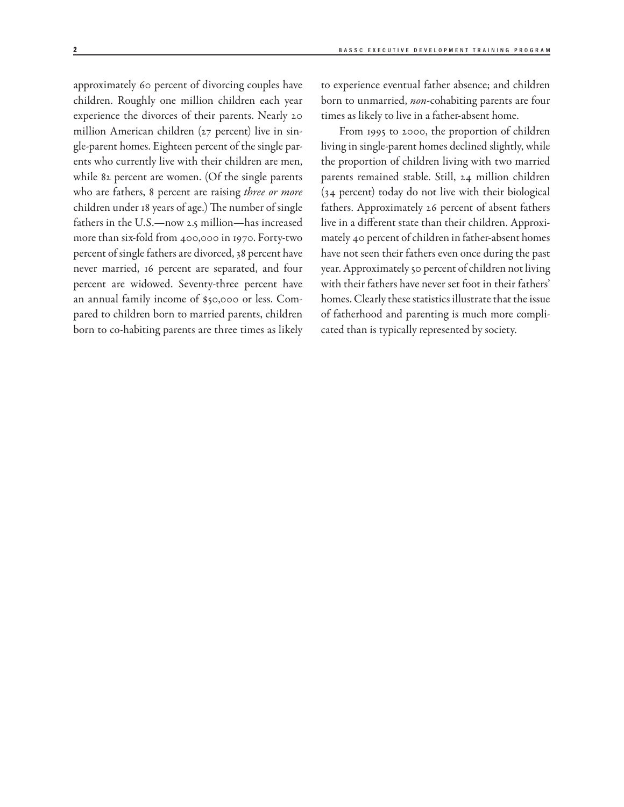approximately 60 percent of divorcing couples have children. Roughly one million children each year experience the divorces of their parents. Nearly 20 million American children (27 percent) live in single-parent homes. Eighteen percent of the single parents who currently live with their children are men, while 82 percent are women. (Of the single parents who are fathers, 8 percent are raising *three or more* children under 18 years of age.) The number of single fathers in the U.S.—now 2.5 million—has increased more than six-fold from 400,000 in 1970. Forty-two percent of single fathers are divorced, 38 percent have never married, 16 percent are separated, and four percent are widowed. Seventy-three percent have an annual family income of \$50,000 or less. Compared to children born to married parents, children born to co-habiting parents are three times as likely to experience eventual father absence; and children born to unmarried, *non*-cohabiting parents are four times as likely to live in a father-absent home.

From 1995 to 2000, the proportion of children living in single-parent homes declined slightly, while the proportion of children living with two married parents remained stable. Still, 24 million children (34 percent) today do not live with their biological fathers. Approximately 26 percent of absent fathers live in a different state than their children. Approximately 40 percent of children in father-absent homes have not seen their fathers even once during the past year. Approximately 50 percent of children not living with their fathers have never set foot in their fathers' homes. Clearly these statistics illustrate that the issue of fatherhood and parenting is much more complicated than is typically represented by society.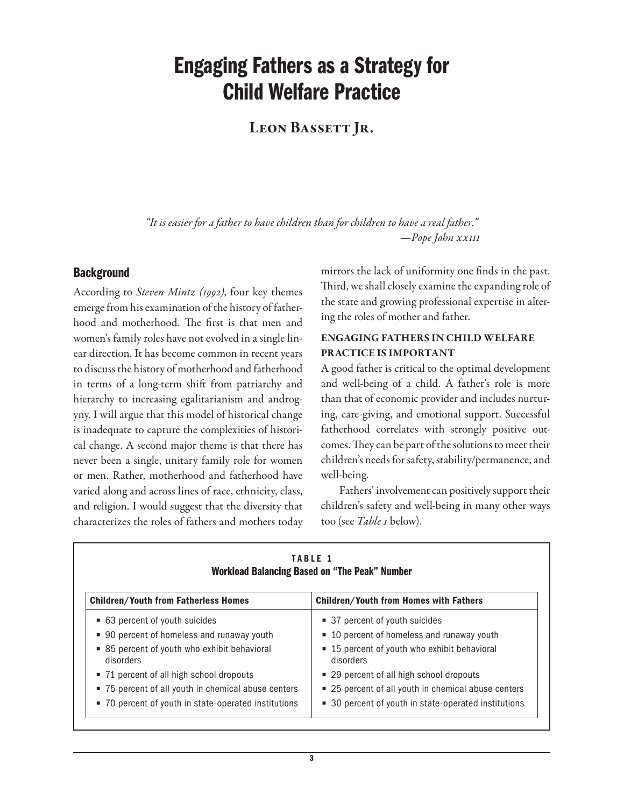# Engaging Fathers as a Strategy for Child Welfare Practice

# LEON BASSETT JR.

*"It is easier for a father to have children than for children to have a real father." —Pope John xxiii*

## **Background**

According to *Steven Mintz (1992)*, four key themes emerge from his examination of the history of fatherhood and motherhood. The first is that men and women's family roles have not evolved in a single linear direction. It has become common in recent years to discuss the history of motherhood and fatherhood in terms of a long-term shift from patriarchy and hierarchy to increasing egalitarianism and androgyny. I will argue that this model of historical change is inadequate to capture the complexities of historical change. A second major theme is that there has never been a single, unitary family role for women or men. Rather, motherhood and fatherhood have varied along and across lines of race, ethnicity, class, and religion. I would suggest that the diversity that characterizes the roles of fathers and mothers today mirrors the lack of uniformity one finds in the past. Third, we shall closely examine the expanding role of the state and growing professional expertise in altering the roles of mother and father.

### ENGAGING FATHERS IN CHILD WELFARE PRACTICE IS IMPORTANT

A good father is critical to the optimal development and well-being of a child. A father's role is more than that of economic provider and includes nurturing, care-giving, and emotional support. Successful fatherhood correlates with strongly positive outcomes. They can be part of the solutions to meet their children's needs for safety, stability/permanence, and well-being.

Fathers' involvement can positively support their children's safety and well-being in many other ways too (see *Table 1* below).

| <b>Children/Youth from Fatherless Homes</b>               | <b>Children/Youth from Homes with Fathers</b>             |  |  |
|-----------------------------------------------------------|-----------------------------------------------------------|--|--|
| ■ 63 percent of youth suicides                            | ■ 37 percent of youth suicides                            |  |  |
| • 90 percent of homeless and runaway youth                | ■ 10 percent of homeless and runaway youth                |  |  |
| ■ 85 percent of youth who exhibit behavioral<br>disorders | ■ 15 percent of youth who exhibit behavioral<br>disorders |  |  |
| ■ 71 percent of all high school dropouts                  | ■ 29 percent of all high school dropouts                  |  |  |
| • 75 percent of all youth in chemical abuse centers       | ■ 25 percent of all youth in chemical abuse centers       |  |  |
| • 70 percent of youth in state-operated institutions      | • 30 percent of youth in state-operated institutions      |  |  |

| TABLE 1 |                                                      |  |  |  |  |  |
|---------|------------------------------------------------------|--|--|--|--|--|
|         | <b>Workload Balancing Based on "The Peak" Number</b> |  |  |  |  |  |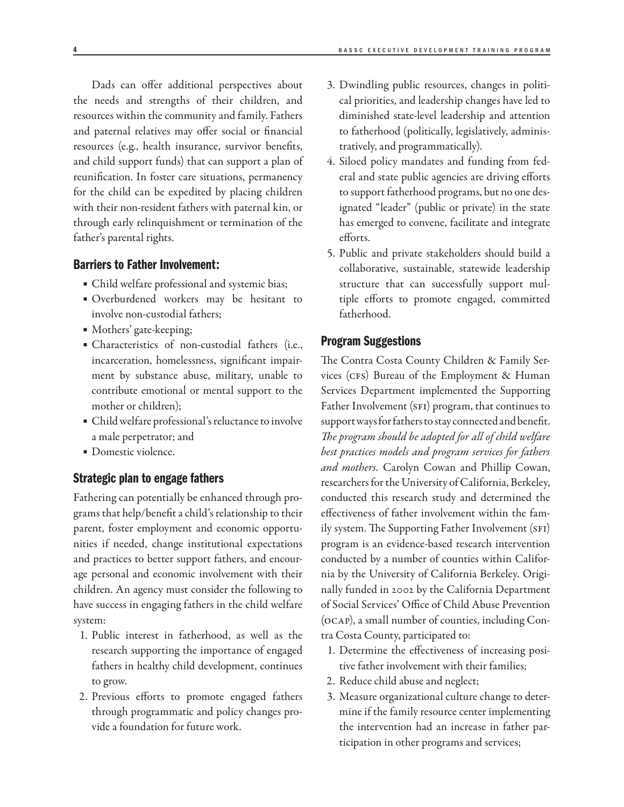Dads can offer additional perspectives about the needs and strengths of their children, and resources within the community and family. Fathers and paternal relatives may offer social or financial resources (e.g., health insurance, survivor benefits, and child support funds) that can support a plan of reunification. In foster care situations, permanency for the child can be expedited by placing children with their non-resident fathers with paternal kin, or through early relinquishment or termination of the father's parental rights.

#### Barriers to Father Involvement:

- Child welfare professional and systemic bias;
- Overburdened workers may be hesitant to involve non-custodial fathers;
- Mothers' gate-keeping;
- Characteristics of non-custodial fathers (i.e., incarceration, homelessness, significant impairment by substance abuse, military, unable to contribute emotional or mental support to the mother or children);
- Child welfare professional's reluctance to involve a male perpetrator; and
- Domestic violence.

#### Strategic plan to engage fathers

Fathering can potentially be enhanced through programs that help/benefit a child's relationship to their parent, foster employment and economic opportunities if needed, change institutional expectations and practices to better support fathers, and encourage personal and economic involvement with their children. An agency must consider the following to have success in engaging fathers in the child welfare system:

- 1. Public interest in fatherhood, as well as the research supporting the importance of engaged fathers in healthy child development, continues to grow.
- 2. Previous efforts to promote engaged fathers through programmatic and policy changes provide a foundation for future work.
- 3. Dwindling public resources, changes in political priorities, and leadership changes have led to diminished state-level leadership and attention to fatherhood (politically, legislatively, administratively, and programmatically).
- 4. Siloed policy mandates and funding from federal and state public agencies are driving efforts to support fatherhood programs, but no one designated "leader" (public or private) in the state has emerged to convene, facilitate and integrate efforts.
- 5. Public and private stakeholders should build a collaborative, sustainable, statewide leadership structure that can successfully support multiple efforts to promote engaged, committed fatherhood.

### Program Suggestions

The Contra Costa County Children & Family Services (CFS) Bureau of the Employment & Human Services Department implemented the Supporting Father Involvement (SFI) program, that continues to support ways for fathers to stay connected and benefit. *The program should be adopted for all of child welfare best practices models and program services for fathers and mothers.* Carolyn Cowan and Phillip Cowan, researchers for the University of California, Berkeley, conducted this research study and determined the effectiveness of father involvement within the family system. The Supporting Father Involvement (SFI) program is an evidence-based research intervention conducted by a number of counties within California by the University of California Berkeley. Originally funded in 2002 by the California Department of Social Services' Office of Child Abuse Prevention (ocap), a small number of counties, including Contra Costa County, participated to:

- 1. Determine the effectiveness of increasing positive father involvement with their families;
- 2. Reduce child abuse and neglect;
- 3. Measure organizational culture change to determine if the family resource center implementing the intervention had an increase in father participation in other programs and services;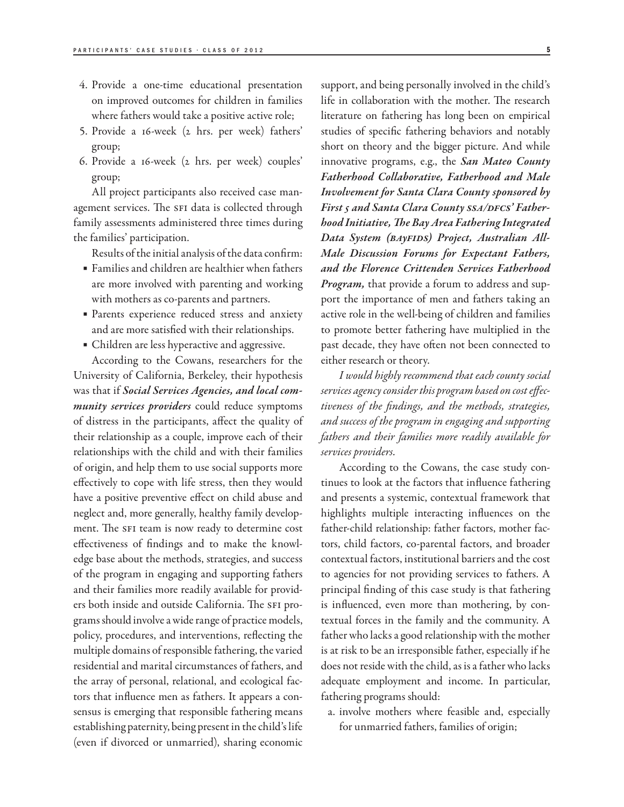- 4. Provide a one-time educational presentation on improved outcomes for children in families where fathers would take a positive active role;
- 5. Provide a 16-week (2 hrs. per week) fathers' group;
- 6. Provide a 16-week (2 hrs. per week) couples' group;

All project participants also received case management services. The SFI data is collected through family assessments administered three times during the families' participation.

Results of the initial analysis of the data confirm:

- Families and children are healthier when fathers are more involved with parenting and working with mothers as co-parents and partners.
- Parents experience reduced stress and anxiety and are more satisfied with their relationships.
- Children are less hyperactive and aggressive.

According to the Cowans, researchers for the University of California, Berkeley, their hypothesis was that if *Social Services Agencies, and local community services providers* could reduce symptoms of distress in the participants, affect the quality of their relationship as a couple, improve each of their relationships with the child and with their families of origin, and help them to use social supports more effectively to cope with life stress, then they would have a positive preventive effect on child abuse and neglect and, more generally, healthy family development. The SFI team is now ready to determine cost effectiveness of findings and to make the knowledge base about the methods, strategies, and success of the program in engaging and supporting fathers and their families more readily available for providers both inside and outside California. The SFI programs should involve a wide range of practice models, policy, procedures, and interventions, reflecting the multiple domains of responsible fathering, the varied residential and marital circumstances of fathers, and the array of personal, relational, and ecological factors that influence men as fathers. It appears a consensus is emerging that responsible fathering means establishing paternity, being present in the child's life (even if divorced or unmarried), sharing economic

support, and being personally involved in the child's life in collaboration with the mother. The research literature on fathering has long been on empirical studies of specific fathering behaviors and notably short on theory and the bigger picture. And while innovative programs, e.g., the *San Mateo County Fatherhood Collaborative, Fatherhood and Male Involvement for Santa Clara County sponsored by First 5 and Santa Clara County SSA/DFCS' Fatherhood Initiative, The Bay Area Fathering Integrated Data System (bayfids) Project, Australian All-Male Discussion Forums for Expectant Fathers, and the Florence Crittenden Services Fatherhood Program,* that provide a forum to address and support the importance of men and fathers taking an active role in the well-being of children and families to promote better fathering have multiplied in the past decade, they have often not been connected to either research or theory.

*I would highly recommend that each county social services agency consider this program based on cost effectiveness of the findings, and the methods, strategies, and success of the program in engaging and supporting fathers and their families more readily available for services providers.*

According to the Cowans, the case study continues to look at the factors that influence fathering and presents a systemic, contextual framework that highlights multiple interacting influences on the father-child relationship: father factors, mother factors, child factors, co-parental factors, and broader contextual factors, institutional barriers and the cost to agencies for not providing services to fathers. A principal finding of this case study is that fathering is influenced, even more than mothering, by contextual forces in the family and the community. A father who lacks a good relationship with the mother is at risk to be an irresponsible father, especially if he does not reside with the child, as is a father who lacks adequate employment and income. In particular, fathering programs should:

a. involve mothers where feasible and, especially for unmarried fathers, families of origin;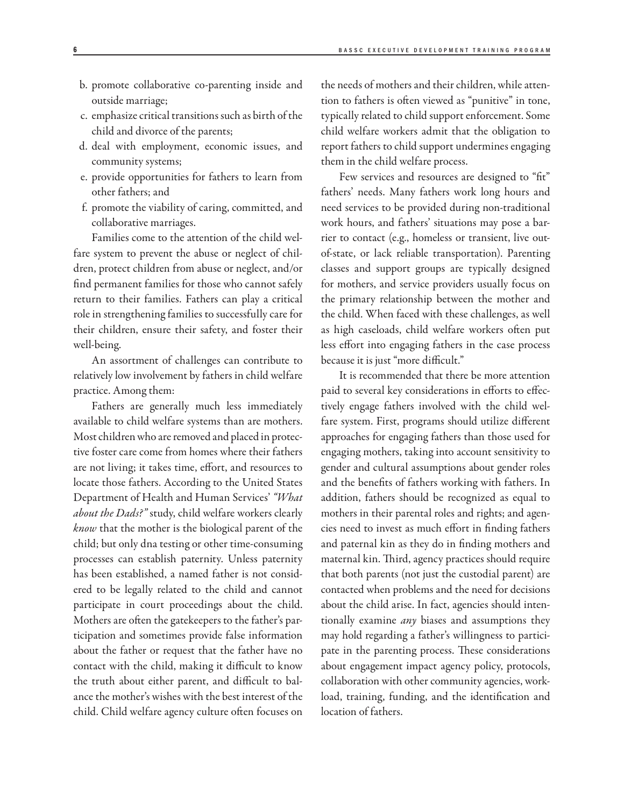- b. promote collaborative co-parenting inside and outside marriage;
- c. emphasize critical transitions such as birth of the child and divorce of the parents;
- d. deal with employment, economic issues, and community systems;
- e. provide opportunities for fathers to learn from other fathers; and
- f. promote the viability of caring, committed, and collaborative marriages.

Families come to the attention of the child welfare system to prevent the abuse or neglect of children, protect children from abuse or neglect, and/or find permanent families for those who cannot safely return to their families. Fathers can play a critical role in strengthening families to successfully care for their children, ensure their safety, and foster their well-being.

An assortment of challenges can contribute to relatively low involvement by fathers in child welfare practice. Among them:

Fathers are generally much less immediately available to child welfare systems than are mothers. Most children who are removed and placed in protective foster care come from homes where their fathers are not living; it takes time, effort, and resources to locate those fathers. According to the United States Department of Health and Human Services' *"What about the Dads?"* study, child welfare workers clearly *know* that the mother is the biological parent of the child; but only dna testing or other time-consuming processes can establish paternity. Unless paternity has been established, a named father is not considered to be legally related to the child and cannot participate in court proceedings about the child. Mothers are often the gatekeepers to the father's participation and sometimes provide false information about the father or request that the father have no contact with the child, making it difficult to know the truth about either parent, and difficult to balance the mother's wishes with the best interest of the child. Child welfare agency culture often focuses on

the needs of mothers and their children, while attention to fathers is often viewed as "punitive" in tone, typically related to child support enforcement. Some child welfare workers admit that the obligation to report fathers to child support undermines engaging them in the child welfare process.

Few services and resources are designed to "fit" fathers' needs. Many fathers work long hours and need services to be provided during non-traditional work hours, and fathers' situations may pose a barrier to contact (e.g., homeless or transient, live outof-state, or lack reliable transportation). Parenting classes and support groups are typically designed for mothers, and service providers usually focus on the primary relationship between the mother and the child. When faced with these challenges, as well as high caseloads, child welfare workers often put less effort into engaging fathers in the case process because it is just "more difficult."

It is recommended that there be more attention paid to several key considerations in efforts to effectively engage fathers involved with the child welfare system. First, programs should utilize different approaches for engaging fathers than those used for engaging mothers, taking into account sensitivity to gender and cultural assumptions about gender roles and the benefits of fathers working with fathers. In addition, fathers should be recognized as equal to mothers in their parental roles and rights; and agencies need to invest as much effort in finding fathers and paternal kin as they do in finding mothers and maternal kin. Third, agency practices should require that both parents (not just the custodial parent) are contacted when problems and the need for decisions about the child arise. In fact, agencies should intentionally examine *any* biases and assumptions they may hold regarding a father's willingness to participate in the parenting process. These considerations about engagement impact agency policy, protocols, collaboration with other community agencies, workload, training, funding, and the identification and location of fathers.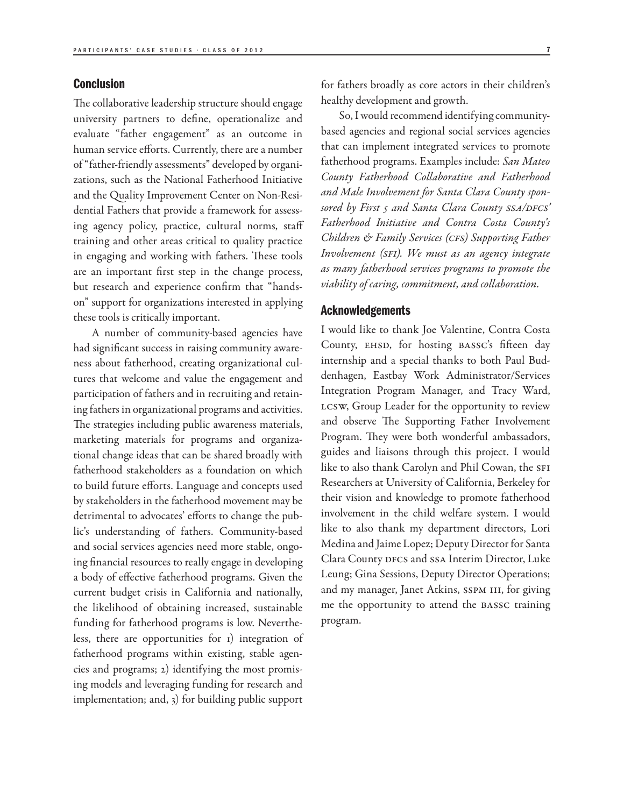#### **Conclusion**

The collaborative leadership structure should engage university partners to define, operationalize and evaluate "father engagement" as an outcome in human service efforts. Currently, there are a number of "father-friendly assessments" developed by organizations, such as the National Fatherhood Initiative and the Quality Improvement Center on Non-Residential Fathers that provide a framework for assessing agency policy, practice, cultural norms, staff training and other areas critical to quality practice in engaging and working with fathers. These tools are an important first step in the change process, but research and experience confirm that "handson" support for organizations interested in applying these tools is critically important.

A number of community-based agencies have had significant success in raising community awareness about fatherhood, creating organizational cultures that welcome and value the engagement and participation of fathers and in recruiting and retaining fathers in organizational programs and activities. The strategies including public awareness materials, marketing materials for programs and organizational change ideas that can be shared broadly with fatherhood stakeholders as a foundation on which to build future efforts. Language and concepts used by stakeholders in the fatherhood movement may be detrimental to advocates' efforts to change the public's understanding of fathers. Community-based and social services agencies need more stable, ongoing financial resources to really engage in developing a body of effective fatherhood programs. Given the current budget crisis in California and nationally, the likelihood of obtaining increased, sustainable funding for fatherhood programs is low. Nevertheless, there are opportunities for 1) integration of fatherhood programs within existing, stable agencies and programs; 2) identifying the most promising models and leveraging funding for research and implementation; and, 3) for building public support

for fathers broadly as core actors in their children's healthy development and growth.

So, I would recommend identifying communitybased agencies and regional social services agencies that can implement integrated services to promote fatherhood programs. Examples include: *San Mateo County Fatherhood Collaborative and Fatherhood and Male Involvement for Santa Clara County spon*sored by First 5 and Santa Clara County SSA/DFCS' *Fatherhood Initiative and Contra Costa County's Children & Family Services (cfs) Supporting Father Involvement (SFI). We must as an agency integrate as many fatherhood services programs to promote the viability of caring, commitment, and collaboration.*

#### Acknowledgements

I would like to thank Joe Valentine, Contra Costa County, EHSD, for hosting BASSC's fifteen day internship and a special thanks to both Paul Buddenhagen, Eastbay Work Administrator/Services Integration Program Manager, and Tracy Ward, LCSW, Group Leader for the opportunity to review and observe The Supporting Father Involvement Program. They were both wonderful ambassadors, guides and liaisons through this project. I would like to also thank Carolyn and Phil Cowan, the SFI Researchers at University of California, Berkeley for their vision and knowledge to promote fatherhood involvement in the child welfare system. I would like to also thank my department directors, Lori Medina and Jaime Lopez; Deputy Director for Santa Clara County DFCS and ssa Interim Director, Luke Leung; Gina Sessions, Deputy Director Operations; and my manager, Janet Atkins, SSPM III, for giving me the opportunity to attend the BASSC training program.